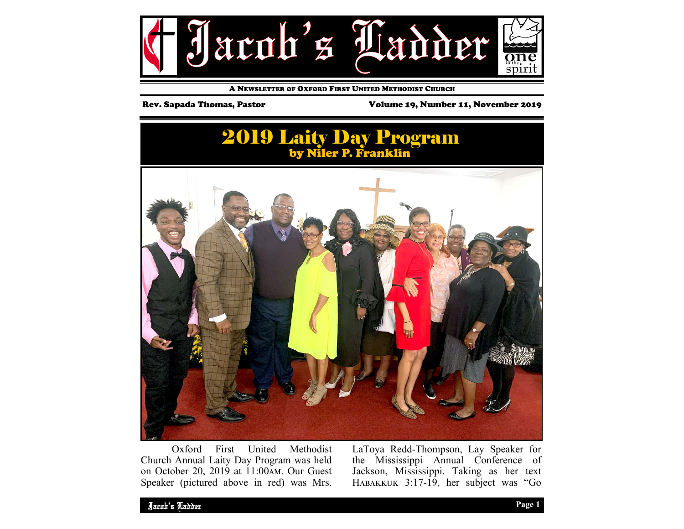

A NEWSLETTER OF OXFORD FIRST UNITED METHODIST CHURCH

Rev. Sapada Thomas, Pastor Volume 19, Number 11, November 2019

## 2019 Laity Day Program by Niler P. Franklin



 Oxford First United Methodist Church Annual Laity Day Program was held on October 20, 2019 at 11:00 AM. Our Guest Speaker (pictured above in red) was Mrs.

LaToya Redd-Thompson, Lay Speaker for the Mississippi Annual Conference of Jackson, Mississippi. Taking as her text HABAKKUK  $3:17-19$ , her subject was "Go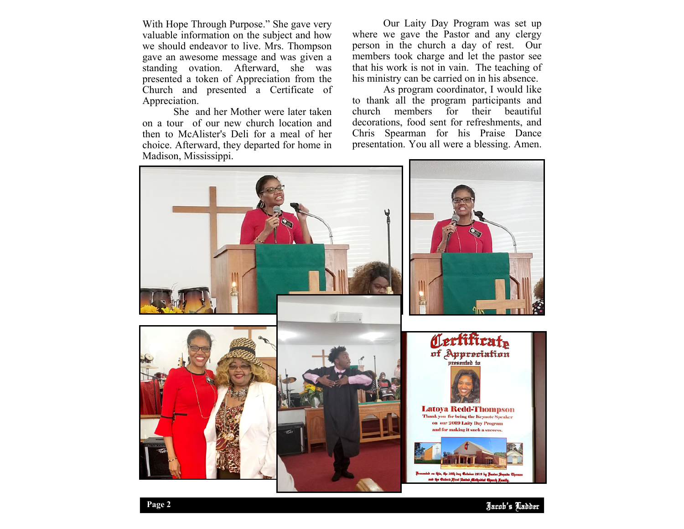With Hope Through Purpose." She gave very valuable information on the subject and how we should endeavor to live. Mrs. Thompson gave an awesome message and was given a standing ovation. Afterward, she was presented a token of Appreciation from the Church and presented a Certificate of Appreciation.

 She and her Mother were later taken on a tour of our new church location and then to McAlister's Deli for a meal of her choice. Afterward, they departed for home in Madison, Mississippi.

 Our Laity Day Program was set up where we gave the Pastor and any clergy person in the church a day of rest. Our members took charge and let the pastor see that his work is not in vain. The teaching of his ministry can be carried on in his absence.

 As program coordinator, I would like to thank all the program participants and church members for their beautiful decorations, food sent for refreshments, and Chris Spearman for his Praise Dance presentation. You all were a blessing. Amen.

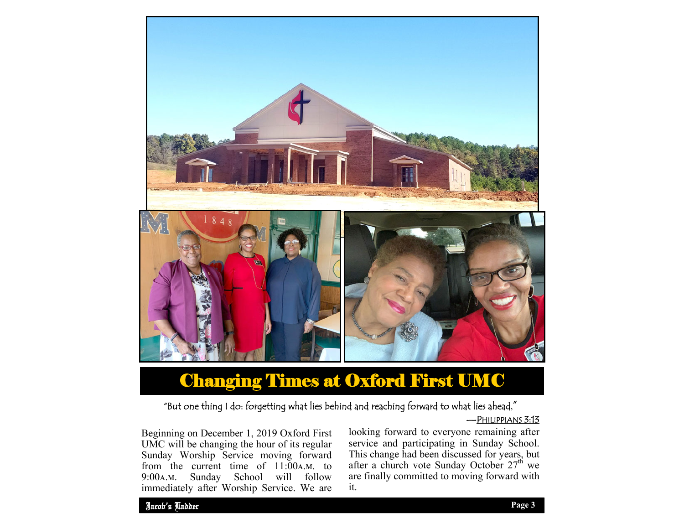

# Changing Times at Oxford First UMC

## "But one thing I do: forgetting what lies behind and reaching forward to what lies ahead,"

—PHILIPPIANS 3:13

Beginning on December 1, 2019 Oxford First UMC will be changing the hour of its regular Sunday Worship Service moving forward from the current time of  $11:00A.M.$  to 9:00A.M. Sunday School will follow immediately after Worship Service. We are

looking forward to everyone remaining after service and participating in Sunday School. This change had been discussed for years, but after a church vote Sunday October 27<sup>th</sup> we are finally committed to moving forward with it.